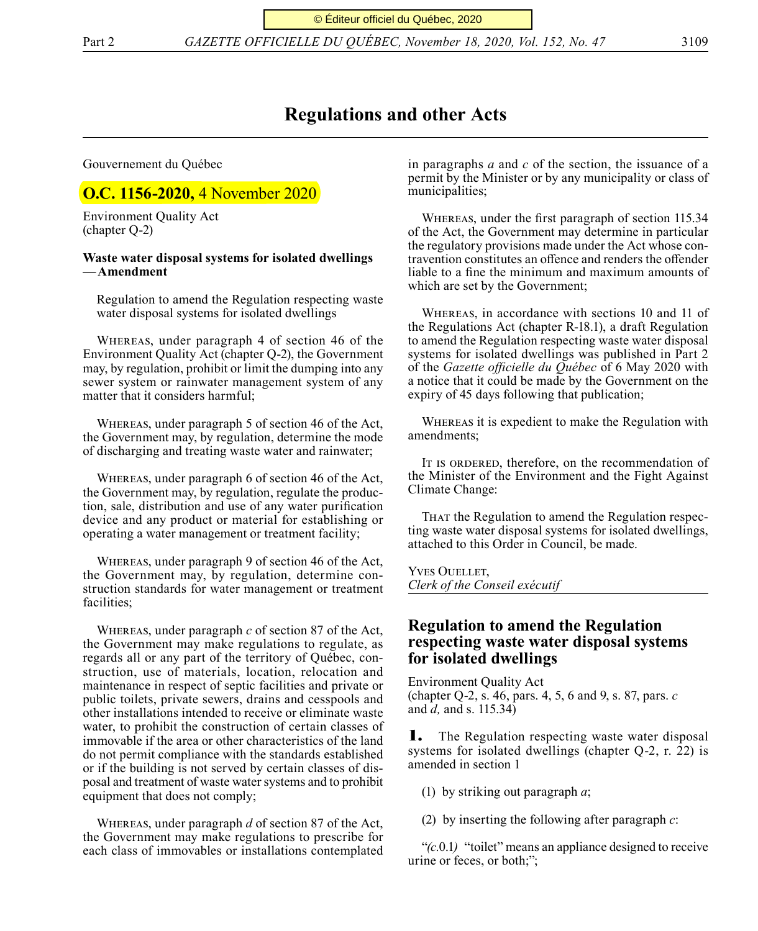Part 2 *GAZETTE OFFICIELLE DU QUÉBEC, November 18, 2020, Vol. 152, No. 47* 3109

# **Regulations and other Acts**

Gouvernement du Québec

# **O.C. 1156-2020, 4 November 2020**

Environment Quality Act (chapter Q-2)

## **Waste water disposal systems for isolated dwellings —Amendment**

Regulation to amend the Regulation respecting waste water disposal systems for isolated dwellings

Whereas, under paragraph 4 of section 46 of the Environment Quality Act (chapter Q-2), the Government may, by regulation, prohibit or limit the dumping into any sewer system or rainwater management system of any matter that it considers harmful;

Whereas, under paragraph 5 of section 46 of the Act, the Government may, by regulation, determine the mode of discharging and treating waste water and rainwater;

Whereas, under paragraph 6 of section 46 of the Act, the Government may, by regulation, regulate the production, sale, distribution and use of any water purification device and any product or material for establishing or operating a water management or treatment facility;

Whereas, under paragraph 9 of section 46 of the Act, the Government may, by regulation, determine construction standards for water management or treatment facilities;

Whereas, under paragraph *c* of section 87 of the Act, the Government may make regulations to regulate, as regards all or any part of the territory of Québec, construction, use of materials, location, relocation and maintenance in respect of septic facilities and private or public toilets, private sewers, drains and cesspools and other installations intended to receive or eliminate waste water, to prohibit the construction of certain classes of immovable if the area or other characteristics of the land do not permit compliance with the standards established or if the building is not served by certain classes of disposal and treatment of waste water systems and to prohibit equipment that does not comply;

Whereas, under paragraph *d* of section 87 of the Act, the Government may make regulations to prescribe for each class of immovables or installations contemplated

in paragraphs *a* and *c* of the section, the issuance of a permit by the Minister or by any municipality or class of municipalities;

Whereas, under the first paragraph of section 115.34 of the Act, the Government may determine in particular the regulatory provisions made under the Act whose contravention constitutes an offence and renders the offender liable to a fine the minimum and maximum amounts of which are set by the Government;

Whereas, in accordance with sections 10 and 11 of the Regulations Act (chapter R-18.1), a draft Regulation to amend the Regulation respecting waste water disposal systems for isolated dwellings was published in Part 2 of the *Gazette officielle du Québec* of 6 May 2020 with a notice that it could be made by the Government on the expiry of 45 days following that publication;

Whereas it is expedient to make the Regulation with amendments;

It is ordered, therefore, on the recommendation of the Minister of the Environment and the Fight Against Climate Change:

That the Regulation to amend the Regulation respecting waste water disposal systems for isolated dwellings, attached to this Order in Council, be made.

Yves Ouellet, *Clerk of the Conseil exécutif*

# **Regulation to amend the Regulation respecting waste water disposal systems for isolated dwellings**

Environment Quality Act (chapter Q-2, s. 46, pars. 4, 5, 6 and 9, s. 87, pars. *c*  and *d,* and s. 115.34)

**1.** The Regulation respecting waste water disposal systems for isolated dwellings (chapter Q-2, r. 22) is amended in section 1

(1) by striking out paragraph *a*;

(2) by inserting the following after paragraph *c*:

"*(c.*0.1*)* "toilet" means an appliance designed to receive urine or feces, or both;";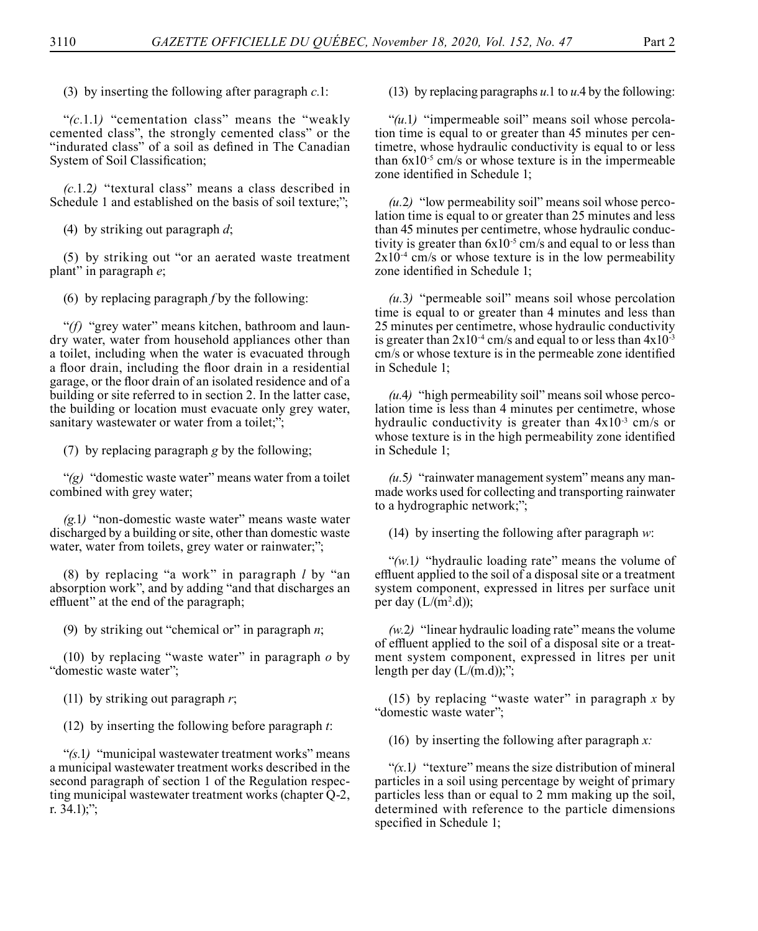(3) by inserting the following after paragraph *c.*1:

"*(c.*1.1*)* "cementation class" means the "weakly cemented class", the strongly cemented class" or the "indurated class" of a soil as defined in The Canadian System of Soil Classification;

*(c.*1.2*)* "textural class" means a class described in Schedule 1 and established on the basis of soil texture;";

(4) by striking out paragraph *d*;

(5) by striking out "or an aerated waste treatment plant" in paragraph *e*;

(6) by replacing paragraph *f* by the following:

"*(f)* "grey water" means kitchen, bathroom and laundry water, water from household appliances other than a toilet, including when the water is evacuated through a floor drain, including the floor drain in a residential garage, or the floor drain of an isolated residence and of a building or site referred to in section 2. In the latter case, the building or location must evacuate only grey water, sanitary wastewater or water from a toilet:":

(7) by replacing paragraph *g* by the following;

"*(g)* "domestic waste water" means water from a toilet combined with grey water;

*(g.*1*)* "non-domestic waste water" means waste water discharged by a building or site, other than domestic waste water, water from toilets, grey water or rainwater;";

(8) by replacing "a work" in paragraph *l* by "an absorption work", and by adding "and that discharges an effluent" at the end of the paragraph;

(9) by striking out "chemical or" in paragraph *n*;

(10) by replacing "waste water" in paragraph *o* by "domestic waste water";

(11) by striking out paragraph *r*;

(12) by inserting the following before paragraph *t*:

"*(s.*1*)* "municipal wastewater treatment works" means a municipal wastewater treatment works described in the second paragraph of section 1 of the Regulation respecting municipal wastewater treatment works (chapter Q-2, r. 34.1);";

(13) by replacing paragraphs *u.*1 to *u.*4 by the following:

"*(u.*1*)* "impermeable soil" means soil whose percolation time is equal to or greater than 45 minutes per centimetre, whose hydraulic conductivity is equal to or less than  $6x10^{-5}$  cm/s or whose texture is in the impermeable zone identified in Schedule 1;

*(u.*2*)* "low permeability soil" means soil whose percolation time is equal to or greater than 25 minutes and less than 45 minutes per centimetre, whose hydraulic conductivity is greater than  $6x10^{-5}$  cm/s and equal to or less than  $2x10^{-4}$  cm/s or whose texture is in the low permeability zone identified in Schedule 1;

*(u.*3*)* "permeable soil" means soil whose percolation time is equal to or greater than 4 minutes and less than 25 minutes per centimetre, whose hydraulic conductivity is greater than  $2x10^{-4}$  cm/s and equal to or less than  $4x10^{-3}$ cm/s or whose texture is in the permeable zone identified in Schedule 1;

*(u.*4*)* "high permeability soil" means soil whose percolation time is less than 4 minutes per centimetre, whose hydraulic conductivity is greater than  $4x10^{-3}$  cm/s or whose texture is in the high permeability zone identified in Schedule 1;

*(u.*5*)* "rainwater management system" means any manmade works used for collecting and transporting rainwater to a hydrographic network;";

(14) by inserting the following after paragraph *w*:

"*(w.*1*)* "hydraulic loading rate" means the volume of effluent applied to the soil of a disposal site or a treatment system component, expressed in litres per surface unit per day  $(L/(m^2.d))$ ;

*(w.*2*)* "linear hydraulic loading rate" means the volume of effluent applied to the soil of a disposal site or a treatment system component, expressed in litres per unit length per day  $(L/(m.d))$ ;";

(15) by replacing "waste water" in paragraph *x* by "domestic waste water";

(16) by inserting the following after paragraph *x:*

" $(x,1)$  "texture" means the size distribution of mineral particles in a soil using percentage by weight of primary particles less than or equal to 2 mm making up the soil, determined with reference to the particle dimensions specified in Schedule 1;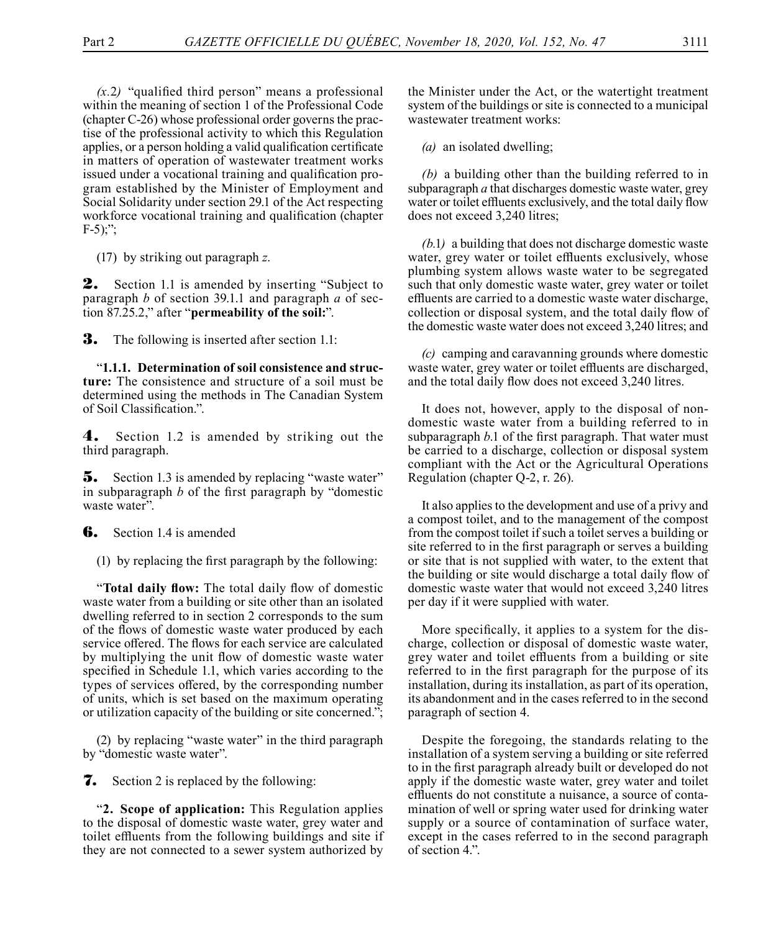$(x,2)$  "qualified third person" means a professional within the meaning of section 1 of the Professional Code (chapter C-26) whose professional order governs the practise of the professional activity to which this Regulation applies, or a person holding a valid qualification certificate in matters of operation of wastewater treatment works issued under a vocational training and qualification program established by the Minister of Employment and Social Solidarity under section 29.1 of the Act respecting workforce vocational training and qualification (chapter  $F-5$ ;;";

(17) by striking out paragraph *z*.

**2.** Section 1.1 is amended by inserting "Subject to paragraph *b* of section 39.1.1 and paragraph *a* of section 87.25.2," after "**permeability of the soil:**".

**3.** The following is inserted after section 1.1:

"**1.1.1. Determination of soil consistence and structure:** The consistence and structure of a soil must be determined using the methods in The Canadian System of Soil Classification.".

4. Section 1.2 is amended by striking out the third paragraph.

**5.** Section 1.3 is amended by replacing "waste water" in subparagraph *b* of the first paragraph by "domestic waste water".

**6.** Section 1.4 is amended

(1) by replacing the first paragraph by the following:

"**Total daily flow:** The total daily flow of domestic waste water from a building or site other than an isolated dwelling referred to in section 2 corresponds to the sum of the flows of domestic waste water produced by each service offered. The flows for each service are calculated by multiplying the unit flow of domestic waste water specified in Schedule 1.1, which varies according to the types of services offered, by the corresponding number of units, which is set based on the maximum operating or utilization capacity of the building or site concerned.";

(2) by replacing "waste water" in the third paragraph by "domestic waste water".

7. Section 2 is replaced by the following:

"**2. Scope of application:** This Regulation applies to the disposal of domestic waste water, grey water and toilet effluents from the following buildings and site if they are not connected to a sewer system authorized by

the Minister under the Act, or the watertight treatment system of the buildings or site is connected to a municipal wastewater treatment works:

*(a)* an isolated dwelling;

*(b)* a building other than the building referred to in subparagraph *a* that discharges domestic waste water, grey water or toilet effluents exclusively, and the total daily flow does not exceed 3,240 litres;

*(b.*1*)* a building that does not discharge domestic waste water, grey water or toilet effluents exclusively, whose plumbing system allows waste water to be segregated such that only domestic waste water, grey water or toilet effluents are carried to a domestic waste water discharge, collection or disposal system, and the total daily flow of the domestic waste water does not exceed 3,240 litres; and

*(c)* camping and caravanning grounds where domestic waste water, grey water or toilet effluents are discharged, and the total daily flow does not exceed 3,240 litres.

It does not, however, apply to the disposal of nondomestic waste water from a building referred to in subparagraph *b*.1 of the first paragraph. That water must be carried to a discharge, collection or disposal system compliant with the Act or the Agricultural Operations Regulation (chapter Q-2, r. 26).

It also applies to the development and use of a privy and a compost toilet, and to the management of the compost from the compost toilet if such a toilet serves a building or site referred to in the first paragraph or serves a building or site that is not supplied with water, to the extent that the building or site would discharge a total daily flow of domestic waste water that would not exceed 3,240 litres per day if it were supplied with water.

More specifically, it applies to a system for the discharge, collection or disposal of domestic waste water, grey water and toilet effluents from a building or site referred to in the first paragraph for the purpose of its installation, during its installation, as part of its operation, its abandonment and in the cases referred to in the second paragraph of section 4.

Despite the foregoing, the standards relating to the installation of a system serving a building or site referred to in the first paragraph already built or developed do not apply if the domestic waste water, grey water and toilet effluents do not constitute a nuisance, a source of contamination of well or spring water used for drinking water supply or a source of contamination of surface water, except in the cases referred to in the second paragraph of section 4.".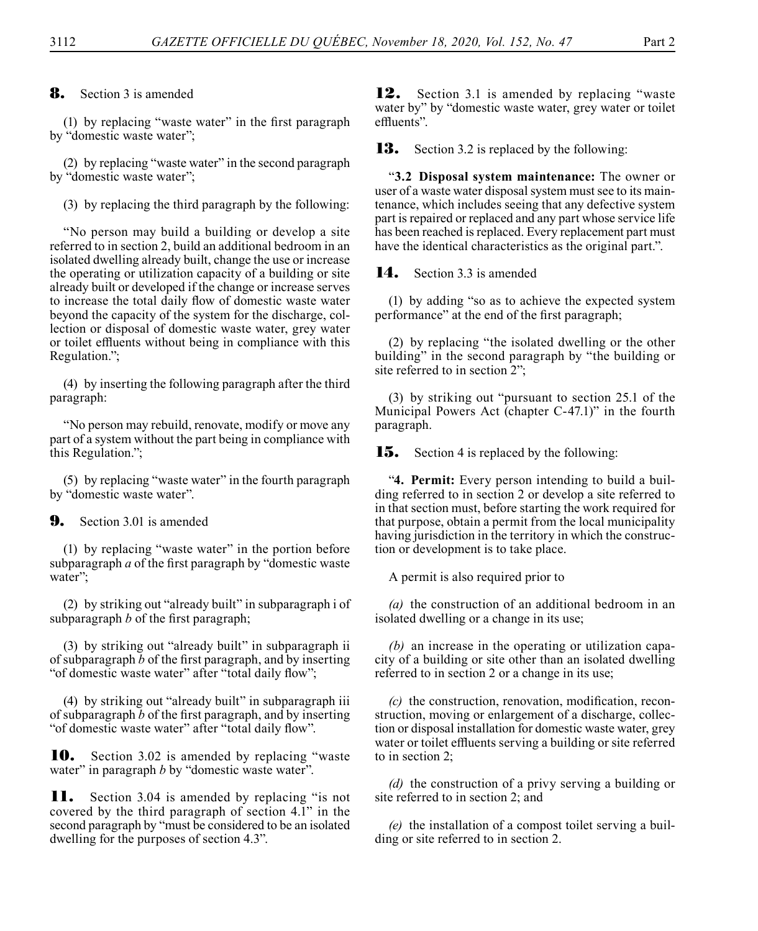8. Section 3 is amended

(1) by replacing "waste water" in the first paragraph by "domestic waste water";

(2) by replacing "waste water" in the second paragraph by "domestic waste water";

(3) by replacing the third paragraph by the following:

"No person may build a building or develop a site referred to in section 2, build an additional bedroom in an isolated dwelling already built, change the use or increase the operating or utilization capacity of a building or site already built or developed if the change or increase serves to increase the total daily flow of domestic waste water beyond the capacity of the system for the discharge, collection or disposal of domestic waste water, grey water or toilet effluents without being in compliance with this Regulation.";

(4) by inserting the following paragraph after the third paragraph:

"No person may rebuild, renovate, modify or move any part of a system without the part being in compliance with this Regulation.";

(5) by replacing "waste water" in the fourth paragraph by "domestic waste water".

## **9.** Section 3.01 is amended

(1) by replacing "waste water" in the portion before subparagraph *a* of the first paragraph by "domestic waste water";

(2) by striking out "already built" in subparagraph i of subparagraph *b* of the first paragraph;

(3) by striking out "already built" in subparagraph ii of subparagraph *b* of the first paragraph, and by inserting "of domestic waste water" after "total daily flow";

(4) by striking out "already built" in subparagraph iii of subparagraph *b* of the first paragraph, and by inserting "of domestic waste water" after "total daily flow".

10. Section 3.02 is amended by replacing "waste water" in paragraph *b* by "domestic waste water".

11. Section 3.04 is amended by replacing "is not covered by the third paragraph of section 4.1" in the second paragraph by "must be considered to be an isolated dwelling for the purposes of section 4.3".

12. Section 3.1 is amended by replacing "waste" water by" by "domestic waste water, grey water or toilet effluents".

**13.** Section 3.2 is replaced by the following:

"**3.2 Disposal system maintenance:** The owner or user of a waste water disposal system must see to its maintenance, which includes seeing that any defective system part is repaired or replaced and any part whose service life has been reached is replaced. Every replacement part must have the identical characteristics as the original part.".

14. Section 3.3 is amended

(1) by adding "so as to achieve the expected system performance" at the end of the first paragraph;

(2) by replacing "the isolated dwelling or the other building" in the second paragraph by "the building or site referred to in section 2";

(3) by striking out "pursuant to section 25.1 of the Municipal Powers Act (chapter C-47.1)" in the fourth paragraph.

**15.** Section 4 is replaced by the following:

"**4. Permit:** Every person intending to build a building referred to in section 2 or develop a site referred to in that section must, before starting the work required for that purpose, obtain a permit from the local municipality having jurisdiction in the territory in which the construction or development is to take place.

A permit is also required prior to

*(a)* the construction of an additional bedroom in an isolated dwelling or a change in its use;

*(b)* an increase in the operating or utilization capacity of a building or site other than an isolated dwelling referred to in section 2 or a change in its use;

*(c)* the construction, renovation, modification, reconstruction, moving or enlargement of a discharge, collection or disposal installation for domestic waste water, grey water or toilet effluents serving a building or site referred to in section 2;

*(d)* the construction of a privy serving a building or site referred to in section 2; and

*(e)* the installation of a compost toilet serving a building or site referred to in section 2.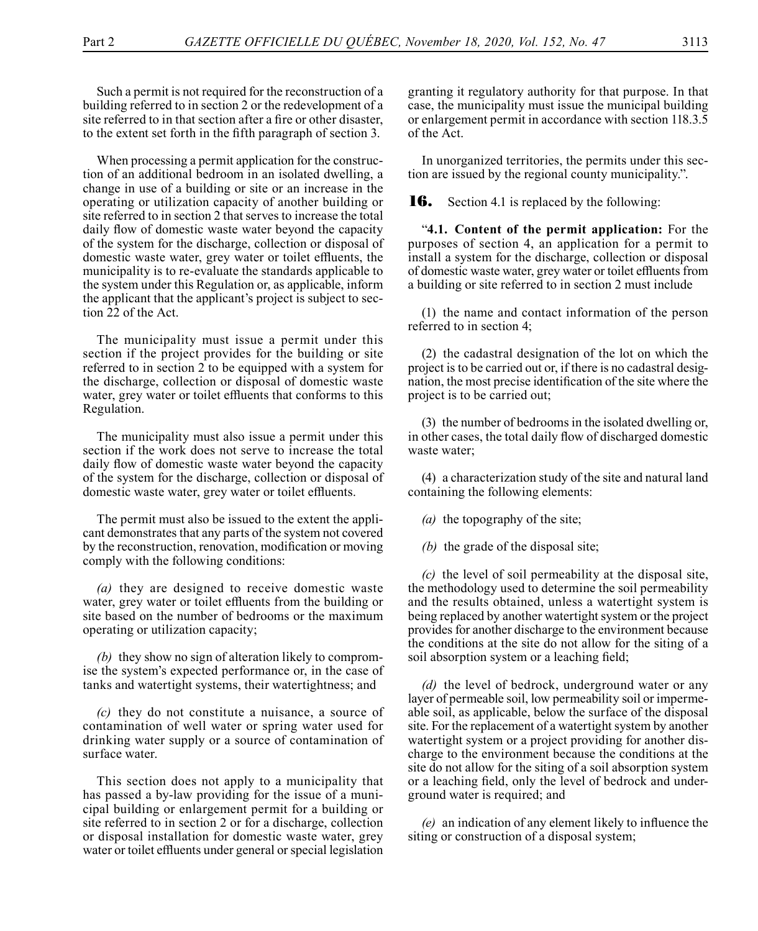Such a permit is not required for the reconstruction of a building referred to in section 2 or the redevelopment of a site referred to in that section after a fire or other disaster, to the extent set forth in the fifth paragraph of section 3.

When processing a permit application for the construction of an additional bedroom in an isolated dwelling, a change in use of a building or site or an increase in the operating or utilization capacity of another building or site referred to in section 2 that serves to increase the total daily flow of domestic waste water beyond the capacity of the system for the discharge, collection or disposal of domestic waste water, grey water or toilet effluents, the municipality is to re-evaluate the standards applicable to the system under this Regulation or, as applicable, inform the applicant that the applicant's project is subject to section 22 of the Act.

The municipality must issue a permit under this section if the project provides for the building or site referred to in section 2 to be equipped with a system for the discharge, collection or disposal of domestic waste water, grey water or toilet effluents that conforms to this Regulation.

The municipality must also issue a permit under this section if the work does not serve to increase the total daily flow of domestic waste water beyond the capacity of the system for the discharge, collection or disposal of domestic waste water, grey water or toilet effluents.

The permit must also be issued to the extent the applicant demonstrates that any parts of the system not covered by the reconstruction, renovation, modification or moving comply with the following conditions:

*(a)* they are designed to receive domestic waste water, grey water or toilet effluents from the building or site based on the number of bedrooms or the maximum operating or utilization capacity;

*(b)* they show no sign of alteration likely to compromise the system's expected performance or, in the case of tanks and watertight systems, their watertightness; and

*(c)* they do not constitute a nuisance, a source of contamination of well water or spring water used for drinking water supply or a source of contamination of surface water.

This section does not apply to a municipality that has passed a by-law providing for the issue of a municipal building or enlargement permit for a building or site referred to in section 2 or for a discharge, collection or disposal installation for domestic waste water, grey water or toilet effluents under general or special legislation

granting it regulatory authority for that purpose. In that case, the municipality must issue the municipal building or enlargement permit in accordance with section 118.3.5 of the Act.

In unorganized territories, the permits under this section are issued by the regional county municipality.".

**16.** Section 4.1 is replaced by the following:

"**4.1. Content of the permit application:** For the purposes of section 4, an application for a permit to install a system for the discharge, collection or disposal of domestic waste water, grey water or toilet effluents from a building or site referred to in section 2 must include

(1) the name and contact information of the person referred to in section 4;

(2) the cadastral designation of the lot on which the project is to be carried out or, if there is no cadastral designation, the most precise identification of the site where the project is to be carried out;

(3) the number of bedrooms in the isolated dwelling or, in other cases, the total daily flow of discharged domestic waste water;

(4) a characterization study of the site and natural land containing the following elements:

*(a)* the topography of the site;

*(b)* the grade of the disposal site;

*(c)* the level of soil permeability at the disposal site, the methodology used to determine the soil permeability and the results obtained, unless a watertight system is being replaced by another watertight system or the project provides for another discharge to the environment because the conditions at the site do not allow for the siting of a soil absorption system or a leaching field;

*(d)* the level of bedrock, underground water or any layer of permeable soil, low permeability soil or impermeable soil, as applicable, below the surface of the disposal site. For the replacement of a watertight system by another watertight system or a project providing for another discharge to the environment because the conditions at the site do not allow for the siting of a soil absorption system or a leaching field, only the level of bedrock and underground water is required; and

*(e)* an indication of any element likely to influence the siting or construction of a disposal system;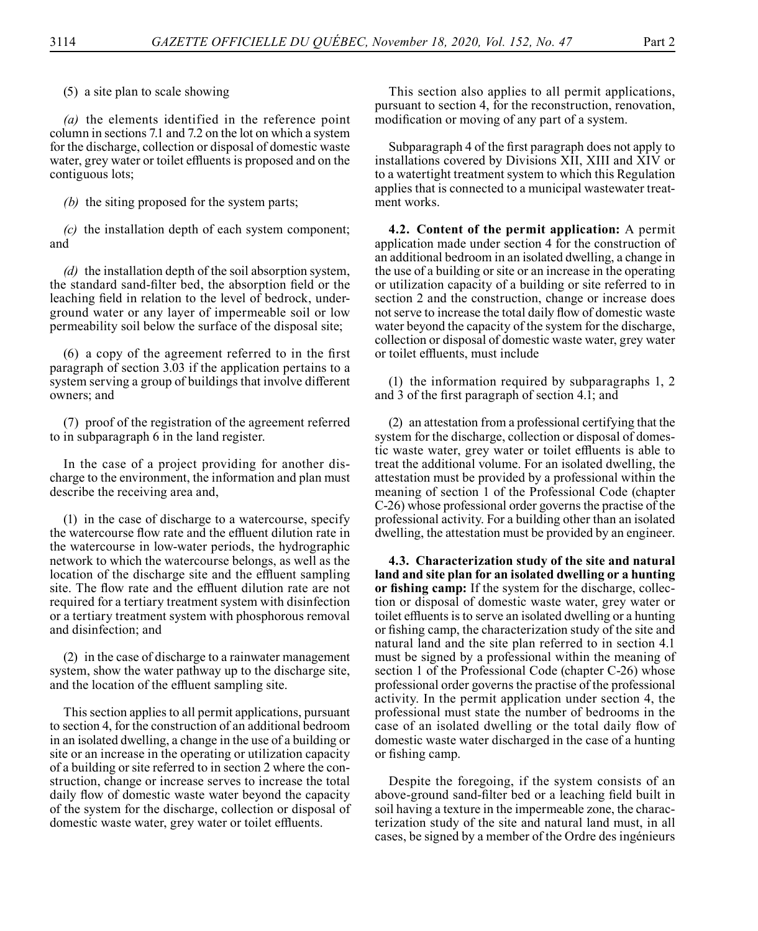(5) a site plan to scale showing

*(a)* the elements identified in the reference point column in sections 7.1 and 7.2 on the lot on which a system for the discharge, collection or disposal of domestic waste water, grey water or toilet effluents is proposed and on the contiguous lots;

*(b)* the siting proposed for the system parts;

*(c)* the installation depth of each system component; and

*(d)* the installation depth of the soil absorption system, the standard sand-filter bed, the absorption field or the leaching field in relation to the level of bedrock, underground water or any layer of impermeable soil or low permeability soil below the surface of the disposal site;

(6) a copy of the agreement referred to in the first paragraph of section 3.03 if the application pertains to a system serving a group of buildings that involve different owners; and

(7) proof of the registration of the agreement referred to in subparagraph 6 in the land register.

In the case of a project providing for another discharge to the environment, the information and plan must describe the receiving area and,

(1) in the case of discharge to a watercourse, specify the watercourse flow rate and the effluent dilution rate in the watercourse in low-water periods, the hydrographic network to which the watercourse belongs, as well as the location of the discharge site and the effluent sampling site. The flow rate and the effluent dilution rate are not required for a tertiary treatment system with disinfection or a tertiary treatment system with phosphorous removal and disinfection; and

(2) in the case of discharge to a rainwater management system, show the water pathway up to the discharge site, and the location of the effluent sampling site.

This section applies to all permit applications, pursuant to section 4, for the construction of an additional bedroom in an isolated dwelling, a change in the use of a building or site or an increase in the operating or utilization capacity of a building or site referred to in section 2 where the construction, change or increase serves to increase the total daily flow of domestic waste water beyond the capacity of the system for the discharge, collection or disposal of domestic waste water, grey water or toilet effluents.

This section also applies to all permit applications, pursuant to section 4, for the reconstruction, renovation, modification or moving of any part of a system.

Subparagraph 4 of the first paragraph does not apply to installations covered by Divisions XII, XIII and XIV or to a watertight treatment system to which this Regulation applies that is connected to a municipal wastewater treatment works.

**4.2. Content of the permit application:** A permit application made under section 4 for the construction of an additional bedroom in an isolated dwelling, a change in the use of a building or site or an increase in the operating or utilization capacity of a building or site referred to in section 2 and the construction, change or increase does not serve to increase the total daily flow of domestic waste water beyond the capacity of the system for the discharge, collection or disposal of domestic waste water, grey water or toilet effluents, must include

(1) the information required by subparagraphs 1, 2 and 3 of the first paragraph of section 4.1; and

(2) an attestation from a professional certifying that the system for the discharge, collection or disposal of domestic waste water, grey water or toilet effluents is able to treat the additional volume. For an isolated dwelling, the attestation must be provided by a professional within the meaning of section 1 of the Professional Code (chapter C-26) whose professional order governs the practise of the professional activity. For a building other than an isolated dwelling, the attestation must be provided by an engineer.

**4.3. Characterization study of the site and natural land and site plan for an isolated dwelling or a hunting or fishing camp:** If the system for the discharge, collection or disposal of domestic waste water, grey water or toilet effluents is to serve an isolated dwelling or a hunting or fishing camp, the characterization study of the site and natural land and the site plan referred to in section 4.1 must be signed by a professional within the meaning of section 1 of the Professional Code (chapter C-26) whose professional order governs the practise of the professional activity. In the permit application under section 4, the professional must state the number of bedrooms in the case of an isolated dwelling or the total daily flow of domestic waste water discharged in the case of a hunting or fishing camp.

Despite the foregoing, if the system consists of an above-ground sand-filter bed or a leaching field built in soil having a texture in the impermeable zone, the characterization study of the site and natural land must, in all cases, be signed by a member of the Ordre des ingénieurs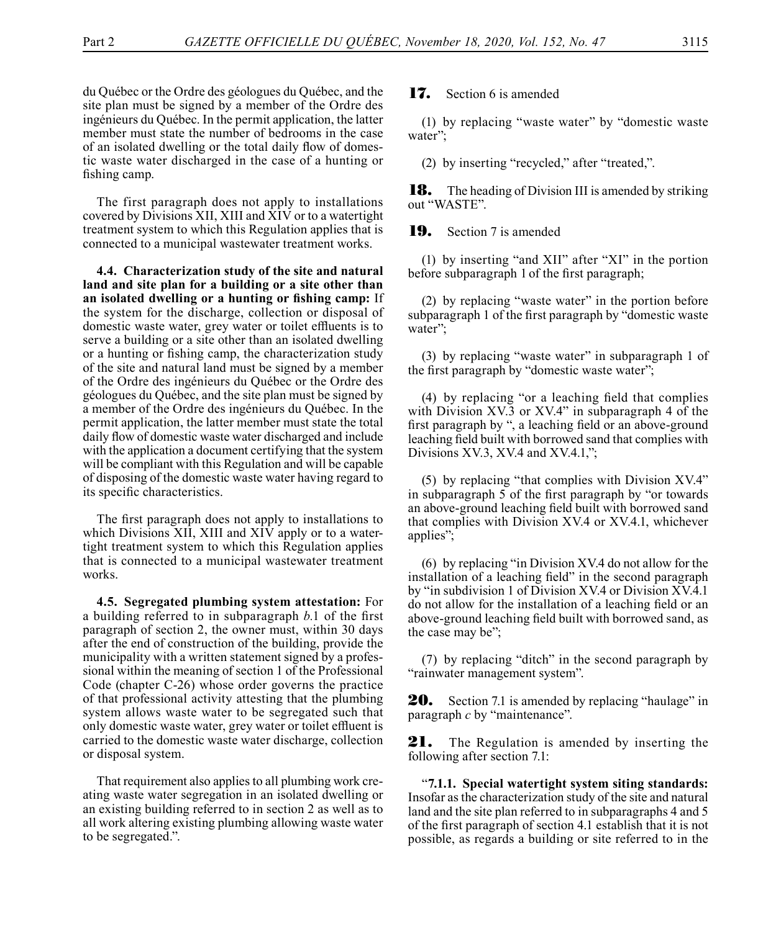du Québec or the Ordre des géologues du Québec, and the site plan must be signed by a member of the Ordre des ingénieurs du Québec. In the permit application, the latter member must state the number of bedrooms in the case of an isolated dwelling or the total daily flow of domestic waste water discharged in the case of a hunting or fishing camp.

The first paragraph does not apply to installations covered by Divisions XII, XIII and XIV or to a watertight treatment system to which this Regulation applies that is connected to a municipal wastewater treatment works.

**4.4. Characterization study of the site and natural land and site plan for a building or a site other than an isolated dwelling or a hunting or fishing camp:** If the system for the discharge, collection or disposal of domestic waste water, grey water or toilet effluents is to serve a building or a site other than an isolated dwelling or a hunting or fishing camp, the characterization study of the site and natural land must be signed by a member of the Ordre des ingénieurs du Québec or the Ordre des géologues du Québec, and the site plan must be signed by a member of the Ordre des ingénieurs du Québec. In the permit application, the latter member must state the total daily flow of domestic waste water discharged and include with the application a document certifying that the system will be compliant with this Regulation and will be capable of disposing of the domestic waste water having regard to its specific characteristics.

The first paragraph does not apply to installations to which Divisions XII, XIII and XIV apply or to a watertight treatment system to which this Regulation applies that is connected to a municipal wastewater treatment works.

**4.5. Segregated plumbing system attestation:** For a building referred to in subparagraph *b.*1 of the first paragraph of section 2, the owner must, within 30 days after the end of construction of the building, provide the municipality with a written statement signed by a professional within the meaning of section 1 of the Professional Code (chapter C-26) whose order governs the practice of that professional activity attesting that the plumbing system allows waste water to be segregated such that only domestic waste water, grey water or toilet effluent is carried to the domestic waste water discharge, collection or disposal system.

That requirement also applies to all plumbing work creating waste water segregation in an isolated dwelling or an existing building referred to in section 2 as well as to all work altering existing plumbing allowing waste water to be segregated.".

## 17. Section 6 is amended

(1) by replacing "waste water" by "domestic waste water";

(2) by inserting "recycled," after "treated,".

**18.** The heading of Division III is amended by striking out "WASTE".

**19.** Section 7 is amended

(1) by inserting "and XII" after "XI" in the portion before subparagraph 1 of the first paragraph;

(2) by replacing "waste water" in the portion before subparagraph 1 of the first paragraph by "domestic waste water";

(3) by replacing "waste water" in subparagraph 1 of the first paragraph by "domestic waste water";

(4) by replacing "or a leaching field that complies with Division XV.3 or XV.4" in subparagraph 4 of the first paragraph by ", a leaching field or an above-ground leaching field built with borrowed sand that complies with Divisions XV.3, XV.4 and XV.4.1,";

(5) by replacing "that complies with Division XV.4" in subparagraph 5 of the first paragraph by "or towards an above-ground leaching field built with borrowed sand that complies with Division XV.4 or XV.4.1, whichever applies";

(6) by replacing "in Division XV.4 do not allow for the installation of a leaching field" in the second paragraph by "in subdivision 1 of Division XV.4 or Division XV.4.1 do not allow for the installation of a leaching field or an above-ground leaching field built with borrowed sand, as the case may be";

(7) by replacing "ditch" in the second paragraph by "rainwater management system".

**20.** Section 7.1 is amended by replacing "haulage" in paragraph *c* by "maintenance".

21. The Regulation is amended by inserting the following after section 7.1:

"**7.1.1. Special watertight system siting standards:** Insofar as the characterization study of the site and natural land and the site plan referred to in subparagraphs 4 and 5 of the first paragraph of section 4.1 establish that it is not possible, as regards a building or site referred to in the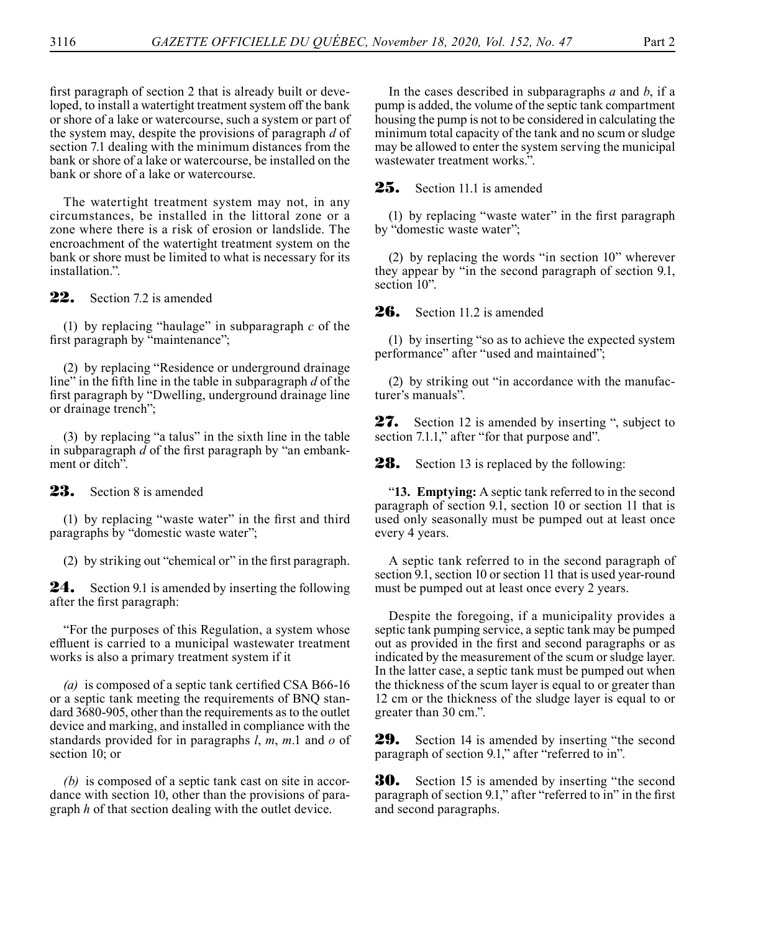first paragraph of section 2 that is already built or developed, to install a watertight treatment system off the bank or shore of a lake or watercourse, such a system or part of the system may, despite the provisions of paragraph *d* of section 7.1 dealing with the minimum distances from the bank or shore of a lake or watercourse, be installed on the bank or shore of a lake or watercourse.

The watertight treatment system may not, in any circumstances, be installed in the littoral zone or a zone where there is a risk of erosion or landslide. The encroachment of the watertight treatment system on the bank or shore must be limited to what is necessary for its installation.".

22. Section 7.2 is amended

(1) by replacing "haulage" in subparagraph *c* of the first paragraph by "maintenance";

(2) by replacing "Residence or underground drainage line" in the fifth line in the table in subparagraph *d* of the first paragraph by "Dwelling, underground drainage line or drainage trench";

(3) by replacing "a talus" in the sixth line in the table in subparagraph *d* of the first paragraph by "an embankment or ditch".

23. Section 8 is amended

(1) by replacing "waste water" in the first and third paragraphs by "domestic waste water";

(2) by striking out "chemical or" in the first paragraph.

**24.** Section 9.1 is amended by inserting the following after the first paragraph:

"For the purposes of this Regulation, a system whose effluent is carried to a municipal wastewater treatment works is also a primary treatment system if it

*(a)* is composed of a septic tank certified CSA B66-16 or a septic tank meeting the requirements of BNQ standard 3680-905, other than the requirements as to the outlet device and marking, and installed in compliance with the standards provided for in paragraphs *l*, *m*, *m*.1 and *o* of section 10; or

*(b)* is composed of a septic tank cast on site in accordance with section 10, other than the provisions of paragraph *h* of that section dealing with the outlet device.

In the cases described in subparagraphs *a* and *b*, if a pump is added, the volume of the septic tank compartment housing the pump is not to be considered in calculating the minimum total capacity of the tank and no scum or sludge may be allowed to enter the system serving the municipal wastewater treatment works.".

25. Section 11.1 is amended

(1) by replacing "waste water" in the first paragraph by "domestic waste water";

(2) by replacing the words "in section 10" wherever they appear by "in the second paragraph of section 9.1, section 10".

26. Section 11.2 is amended

(1) by inserting "so as to achieve the expected system performance" after "used and maintained";

(2) by striking out "in accordance with the manufacturer's manuals".

27. Section 12 is amended by inserting ", subject to section 7.1.1," after "for that purpose and".

**28.** Section 13 is replaced by the following:

"**13. Emptying:** A septic tank referred to in the second paragraph of section 9.1, section 10 or section 11 that is used only seasonally must be pumped out at least once every 4 years.

A septic tank referred to in the second paragraph of section 9.1, section 10 or section 11 that is used year-round must be pumped out at least once every 2 years.

Despite the foregoing, if a municipality provides a septic tank pumping service, a septic tank may be pumped out as provided in the first and second paragraphs or as indicated by the measurement of the scum or sludge layer. In the latter case, a septic tank must be pumped out when the thickness of the scum layer is equal to or greater than 12 cm or the thickness of the sludge layer is equal to or greater than 30 cm.".

**29.** Section 14 is amended by inserting "the second paragraph of section 9.1," after "referred to in".

**30.** Section 15 is amended by inserting "the second paragraph of section 9.1," after "referred to in" in the first and second paragraphs.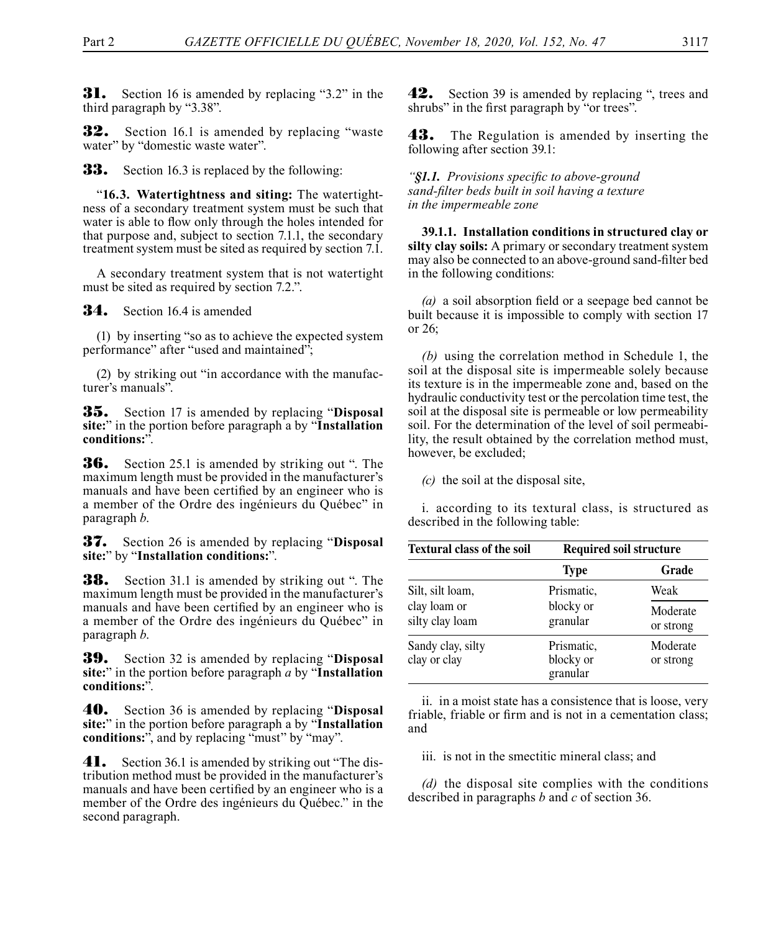**31.** Section 16 is amended by replacing "3.2" in the third paragraph by "3.38".

**32.** Section 16.1 is amended by replacing "waste water" by "domestic waste water".

**33.** Section 16.3 is replaced by the following:

"**16.3. Watertightness and siting:** The watertightness of a secondary treatment system must be such that water is able to flow only through the holes intended for that purpose and, subject to section 7.1.1, the secondary treatment system must be sited as required by section 7.1.

A secondary treatment system that is not watertight must be sited as required by section 7.2.".

**34.** Section 16.4 is amended

(1) by inserting "so as to achieve the expected system performance" after "used and maintained";

(2) by striking out "in accordance with the manufacturer's manuals".

35. Section 17 is amended by replacing "**Disposal site:**" in the portion before paragraph a by "**Installation conditions:**".

**36.** Section 25.1 is amended by striking out ". The maximum length must be provided in the manufacturer's manuals and have been certified by an engineer who is a member of the Ordre des ingénieurs du Québec" in paragraph *b*.

37. Section 26 is amended by replacing "**Disposal site:**" by "**Installation conditions:**".

**38.** Section 31.1 is amended by striking out ". The maximum length must be provided in the manufacturer's manuals and have been certified by an engineer who is a member of the Ordre des ingénieurs du Québec" in paragraph *b*.

39. Section 32 is amended by replacing "**Disposal site:**" in the portion before paragraph *a* by "**Installation conditions:**".

40. Section 36 is amended by replacing "**Disposal site:**" in the portion before paragraph a by "**Installation conditions:**", and by replacing "must" by "may".

**41.** Section 36.1 is amended by striking out "The distribution method must be provided in the manufacturer's manuals and have been certified by an engineer who is a member of the Ordre des ingénieurs du Québec." in the second paragraph.

**42.** Section 39 is amended by replacing ", trees and shrubs" in the first paragraph by "or trees".

**43.** The Regulation is amended by inserting the following after section 39.1:

*"§1.1. Provisions specific to above-ground sand-filter beds built in soil having a texture in the impermeable zone*

**39.1.1. Installation conditions in structured clay or silty clay soils:** A primary or secondary treatment system may also be connected to an above-ground sand-filter bed in the following conditions:

*(a)* a soil absorption field or a seepage bed cannot be built because it is impossible to comply with section 17 or 26;

*(b)* using the correlation method in Schedule 1, the soil at the disposal site is impermeable solely because its texture is in the impermeable zone and, based on the hydraulic conductivity test or the percolation time test, the soil at the disposal site is permeable or low permeability soil. For the determination of the level of soil permeability, the result obtained by the correlation method must, however, be excluded;

*(c)* the soil at the disposal site,

i. according to its textural class, is structured as described in the following table:

| <b>Textural class of the soil</b> | <b>Required soil structure</b>      |                       |  |
|-----------------------------------|-------------------------------------|-----------------------|--|
|                                   | <b>Type</b>                         | Grade                 |  |
| Silt, silt loam,                  | Prismatic,                          | Weak                  |  |
| clay loam or<br>silty clay loam   | blocky or<br>granular               | Moderate<br>or strong |  |
| Sandy clay, silty<br>clay or clay | Prismatic,<br>blocky or<br>granular | Moderate<br>or strong |  |

ii. in a moist state has a consistence that is loose, very friable, friable or firm and is not in a cementation class; and

iii. is not in the smectitic mineral class; and

*(d)* the disposal site complies with the conditions described in paragraphs *b* and *c* of section 36.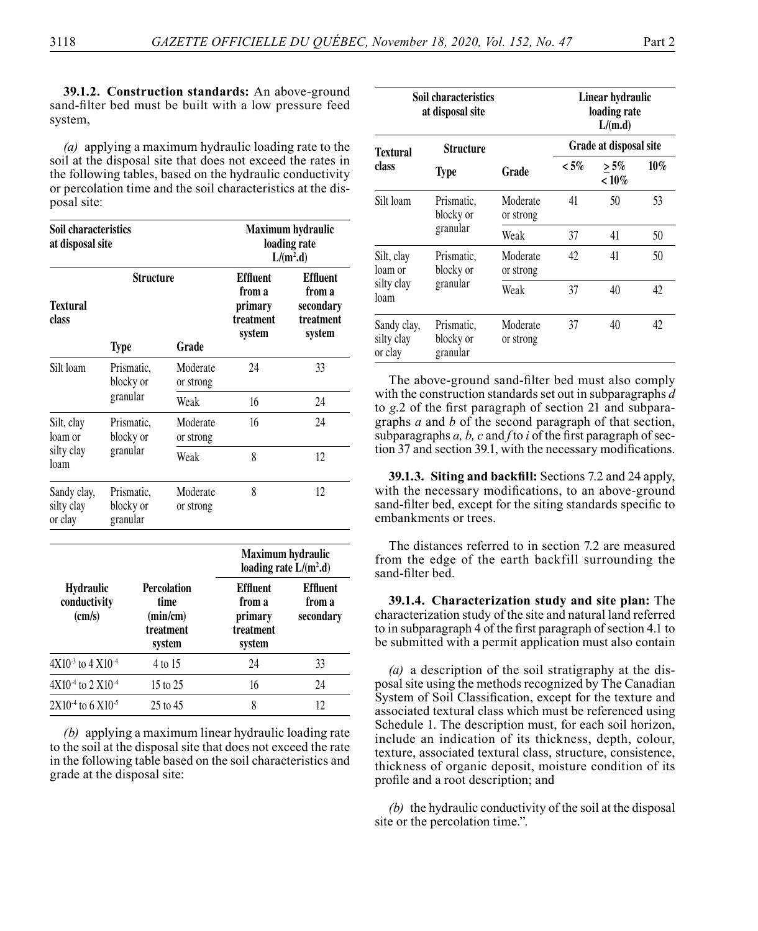**39.1.2. Construction standards:** An above-ground sand-filter bed must be built with a low pressure feed system,

*(a)* applying a maximum hydraulic loading rate to the soil at the disposal site that does not exceed the rates in the following tables, based on the hydraulic conductivity or percolation time and the soil characteristics at the disposal site:

| Soil characteristics<br>at disposal site            |                                     | Maximum hydraulic<br>loading rate<br>$L/(m^2.d)$ |                                                               |                                                             |                                                               |    |    |
|-----------------------------------------------------|-------------------------------------|--------------------------------------------------|---------------------------------------------------------------|-------------------------------------------------------------|---------------------------------------------------------------|----|----|
| <b>Textural</b><br>class                            |                                     | Structure                                        |                                                               | <b>Effluent</b><br>from a<br>primary<br>treatment<br>system | <b>Effluent</b><br>from a<br>secondary<br>treatment<br>svstem |    |    |
|                                                     | Type                                |                                                  | Grade                                                         |                                                             |                                                               |    |    |
| Silt loam                                           | Prismatic,<br>blocky or             |                                                  |                                                               |                                                             | Moderate<br>or strong                                         | 24 | 33 |
|                                                     | granular                            |                                                  | Weak                                                          | 16                                                          | 24                                                            |    |    |
| Silt, clay<br>loam or                               | Prismatic.<br>blocky or             |                                                  | Moderate<br>or strong                                         | 16                                                          | 24                                                            |    |    |
| silty clay<br>loam                                  | granular                            |                                                  | Weak                                                          | 8                                                           | 12                                                            |    |    |
| Sandy clay,<br>silty clay<br>or clay                | Prismatic,<br>blocky or<br>granular |                                                  | Moderate<br>or strong                                         | 8                                                           | 12.                                                           |    |    |
|                                                     |                                     |                                                  |                                                               |                                                             | Maximum hydraulic<br>loading rate $L/(m^2 \cdot d)$           |    |    |
| <b>Hydraulic</b><br>conductivity<br>$\text{(cm/s)}$ |                                     |                                                  | <b>Percolation</b><br>time<br>(min/cm)<br>treatment<br>svstem | <b>Effluent</b><br>from a<br>primary<br>treatment<br>system | <b>Effluent</b><br>from a<br>secondary                        |    |    |
| $4X10^{-3}$ to $4X10^{-4}$                          |                                     |                                                  | 4 to 15                                                       | 24                                                          | 33                                                            |    |    |
| $4X10^{-4}$ to $2 X10^{-4}$                         |                                     |                                                  | 15 to 25                                                      | 16                                                          | 24                                                            |    |    |
| $2X10^{-4}$ to 6 $X10^{-5}$                         |                                     |                                                  | 25 to 45                                                      | 8                                                           | 12                                                            |    |    |

*(b)* applying a maximum linear hydraulic loading rate to the soil at the disposal site that does not exceed the rate in the following table based on the soil characteristics and grade at the disposal site:

| Soil characteristics<br>at disposal site         |                                     |                       | Linear hydraulic<br>loading rate<br>L/(m.d) |                        |        |  |
|--------------------------------------------------|-------------------------------------|-----------------------|---------------------------------------------|------------------------|--------|--|
| Textural                                         | Structure                           |                       |                                             | Grade at disposal site |        |  |
| class                                            | <b>Type</b>                         | Grade                 | $< 5\%$                                     | $> 5\%$<br>$~10\%$     | $10\%$ |  |
| Silt loam<br>Prismatic,<br>blocky or<br>granular | Moderate<br>or strong               | 41                    | 50                                          | 53                     |        |  |
|                                                  |                                     | Weak                  | 37                                          | 41                     | 50     |  |
| Silt, clay<br>loam or                            | Prismatic,<br>blocky or             | Moderate<br>or strong | 42                                          | 41                     | 50     |  |
| granular<br>silty clay<br>loam                   |                                     | Weak                  | 37                                          | 40                     | 42     |  |
| Sandy clay,<br>silty clay<br>or clay             | Prismatic,<br>blocky or<br>granular | Moderate<br>or strong | 37                                          | 40                     | 42     |  |

The above-ground sand-filter bed must also comply with the construction standards set out in subparagraphs *d*  to *g*.2 of the first paragraph of section 21 and subparagraphs *a* and *b* of the second paragraph of that section, subparagraphs *a, b, c* and *f* to *i* of the first paragraph of section 37 and section 39.1, with the necessary modifications.

**39.1.3. Siting and backfill:** Sections 7.2 and 24 apply, with the necessary modifications, to an above-ground sand-filter bed, except for the siting standards specific to embankments or trees.

The distances referred to in section 7.2 are measured from the edge of the earth backfill surrounding the sand-filter bed.

**39.1.4. Characterization study and site plan:** The characterization study of the site and natural land referred to in subparagraph 4 of the first paragraph of section 4.1 to be submitted with a permit application must also contain

*(a)* a description of the soil stratigraphy at the disposal site using the methods recognized by The Canadian System of Soil Classification, except for the texture and associated textural class which must be referenced using Schedule 1. The description must, for each soil horizon, include an indication of its thickness, depth, colour, texture, associated textural class, structure, consistence, thickness of organic deposit, moisture condition of its profile and a root description; and

*(b)* the hydraulic conductivity of the soil at the disposal site or the percolation time.".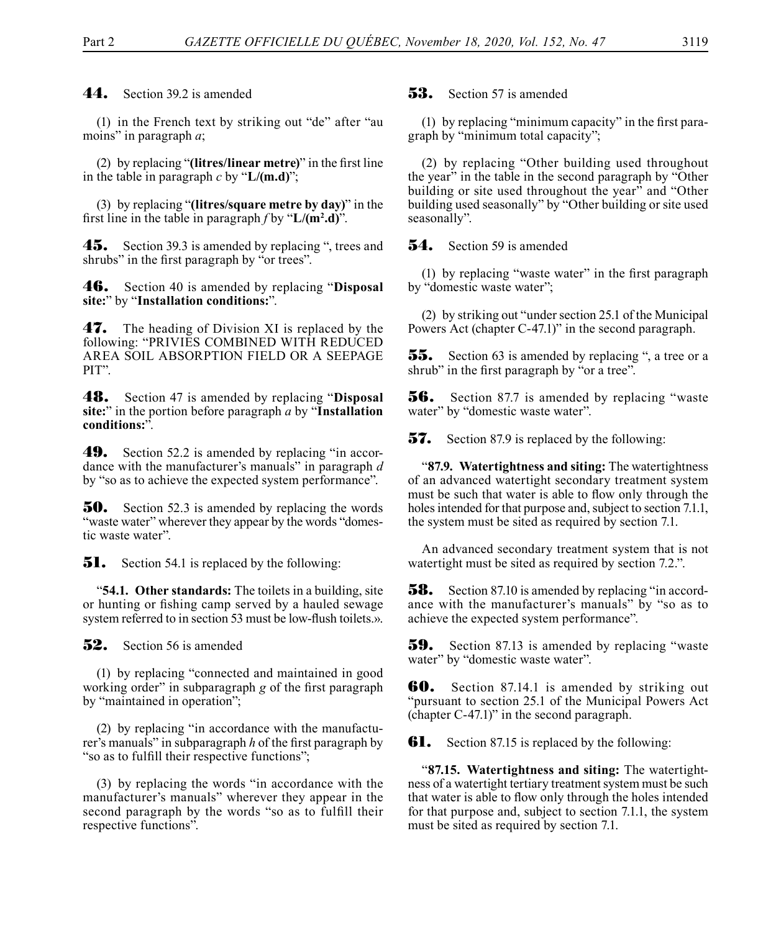44. Section 39.2 is amended

(1) in the French text by striking out "de" after "au moins" in paragraph *a*;

(2) by replacing "**(litres/linear metre)**" in the first line in the table in paragraph *c* by "**L/(m.d)**";

(3) by replacing "**(litres/square metre by day)**" in the first line in the table in paragraph *f* by "**L/(m2 .d)**".

**45.** Section 39.3 is amended by replacing ", trees and shrubs" in the first paragraph by "or trees".

46. Section 40 is amended by replacing "**Disposal site:**" by "**Installation conditions:**".

**47.** The heading of Division XI is replaced by the following: "PRIVIES COMBINED WITH REDUCED AREA SOIL ABSORPTION FIELD OR A SEEPAGE PIT".

48. Section 47 is amended by replacing "**Disposal site:**" in the portion before paragraph *a* by "**Installation conditions:**".

**49.** Section 52.2 is amended by replacing "in accordance with the manufacturer's manuals" in paragraph *d* by "so as to achieve the expected system performance".

**50.** Section 52.3 is amended by replacing the words "waste water" wherever they appear by the words "domestic waste water".

**51.** Section 54.1 is replaced by the following:

"**54.1. Other standards:** The toilets in a building, site or hunting or fishing camp served by a hauled sewage system referred to in section 53 must be low-flush toilets.».

**52.** Section 56 is amended

(1) by replacing "connected and maintained in good working order" in subparagraph *g* of the first paragraph by "maintained in operation";

(2) by replacing "in accordance with the manufacturer's manuals" in subparagraph *h* of the first paragraph by "so as to fulfill their respective functions";

(3) by replacing the words "in accordance with the manufacturer's manuals" wherever they appear in the second paragraph by the words "so as to fulfill their respective functions".

## $53.$  Section 57 is amended

(1) by replacing "minimum capacity" in the first paragraph by "minimum total capacity";

(2) by replacing "Other building used throughout the year" in the table in the second paragraph by "Other building or site used throughout the year" and "Other building used seasonally" by "Other building or site used seasonally".

**54.** Section 59 is amended

(1) by replacing "waste water" in the first paragraph by "domestic waste water";

(2) by striking out "under section 25.1 of the Municipal Powers Act (chapter C-47.1)" in the second paragraph.

**55.** Section 63 is amended by replacing ", a tree or a shrub" in the first paragraph by "or a tree".

**56.** Section 87.7 is amended by replacing "waste water" by "domestic waste water".

**57.** Section 87.9 is replaced by the following:

"**87.9. Watertightness and siting:** The watertightness of an advanced watertight secondary treatment system must be such that water is able to flow only through the holes intended for that purpose and, subject to section 7.1.1, the system must be sited as required by section 7.1.

An advanced secondary treatment system that is not watertight must be sited as required by section 7.2.".

**58.** Section 87.10 is amended by replacing "in accordance with the manufacturer's manuals" by "so as to achieve the expected system performance".

**59.** Section 87.13 is amended by replacing "waste" water" by "domestic waste water".

**60.** Section 87.14.1 is amended by striking out "pursuant to section 25.1 of the Municipal Powers Act (chapter C-47.1)" in the second paragraph.

**61.** Section 87.15 is replaced by the following:

"**87.15. Watertightness and siting:** The watertightness of a watertight tertiary treatment system must be such that water is able to flow only through the holes intended for that purpose and, subject to section 7.1.1, the system must be sited as required by section 7.1.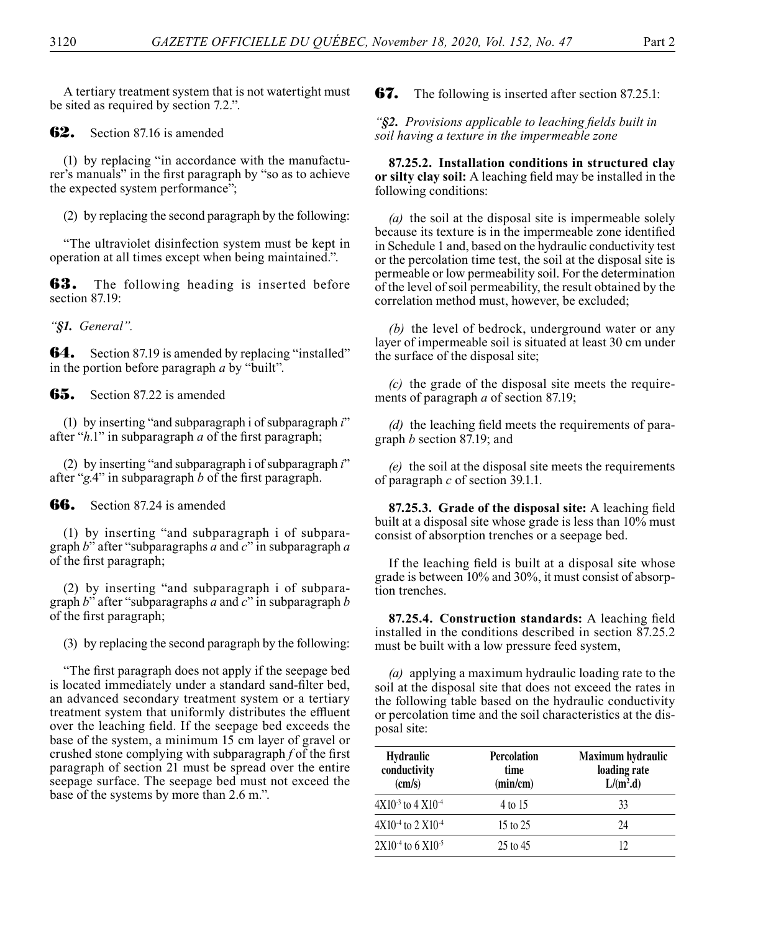A tertiary treatment system that is not watertight must be sited as required by section 7.2.".

**62.** Section 87.16 is amended

(1) by replacing "in accordance with the manufacturer's manuals" in the first paragraph by "so as to achieve the expected system performance";

(2) by replacing the second paragraph by the following:

"The ultraviolet disinfection system must be kept in operation at all times except when being maintained.".

**63.** The following heading is inserted before section 87.19:

*"§1. General".*

**64.** Section 87.19 is amended by replacing "installed" in the portion before paragraph *a* by "built".

65. Section 87.22 is amended

(1) by inserting "and subparagraph i of subparagraph *i*" after "*h.*1" in subparagraph *a* of the first paragraph;

(2) by inserting "and subparagraph i of subparagraph *i*" after "*g.*4" in subparagraph *b* of the first paragraph.

**66.** Section 87.24 is amended

(1) by inserting "and subparagraph i of subparagraph *b*" after "subparagraphs *a* and *c*" in subparagraph *a* of the first paragraph;

(2) by inserting "and subparagraph i of subparagraph *b*" after "subparagraphs *a* and *c*" in subparagraph *b* of the first paragraph;

(3) by replacing the second paragraph by the following:

"The first paragraph does not apply if the seepage bed is located immediately under a standard sand-filter bed, an advanced secondary treatment system or a tertiary treatment system that uniformly distributes the effluent over the leaching field. If the seepage bed exceeds the base of the system, a minimum 15 cm layer of gravel or crushed stone complying with subparagraph *f* of the first paragraph of section 21 must be spread over the entire seepage surface. The seepage bed must not exceed the base of the systems by more than 2.6 m.".

**67.** The following is inserted after section 87.25.1:

*"§2. Provisions applicable to leaching fields built in soil having a texture in the impermeable zone*

**87.25.2. Installation conditions in structured clay or silty clay soil:** A leaching field may be installed in the following conditions:

*(a)* the soil at the disposal site is impermeable solely because its texture is in the impermeable zone identified in Schedule 1 and, based on the hydraulic conductivity test or the percolation time test, the soil at the disposal site is permeable or low permeability soil. For the determination of the level of soil permeability, the result obtained by the correlation method must, however, be excluded;

*(b)* the level of bedrock, underground water or any layer of impermeable soil is situated at least 30 cm under the surface of the disposal site;

*(c)* the grade of the disposal site meets the requirements of paragraph *a* of section 87.19;

*(d)* the leaching field meets the requirements of paragraph *b* section 87.19; and

*(e)* the soil at the disposal site meets the requirements of paragraph *c* of section 39.1.1.

**87.25.3. Grade of the disposal site:** A leaching field built at a disposal site whose grade is less than 10% must consist of absorption trenches or a seepage bed.

If the leaching field is built at a disposal site whose grade is between 10% and 30%, it must consist of absorption trenches.

**87.25.4. Construction standards:** A leaching field installed in the conditions described in section 87.25.2 must be built with a low pressure feed system,

*(a)* applying a maximum hydraulic loading rate to the soil at the disposal site that does not exceed the rates in the following table based on the hydraulic conductivity or percolation time and the soil characteristics at the disposal site:

| <b>Hydraulic</b><br>conductivity<br>$\text{(cm/s)}$ | <b>Percolation</b><br>time<br>(min/cm) | Maximum hydraulic<br>loading rate<br>$L/(m^2.d)$ |
|-----------------------------------------------------|----------------------------------------|--------------------------------------------------|
| $4X10^{-3}$ to $4X10^{-4}$                          | 4 to 15                                | 33                                               |
| $4X10^{-4}$ to $2 X10^{-4}$                         | 15 to 25                               | 24                                               |
| $2X10^{-4}$ to 6 $X10^{-5}$                         | 25 to 45                               | 12                                               |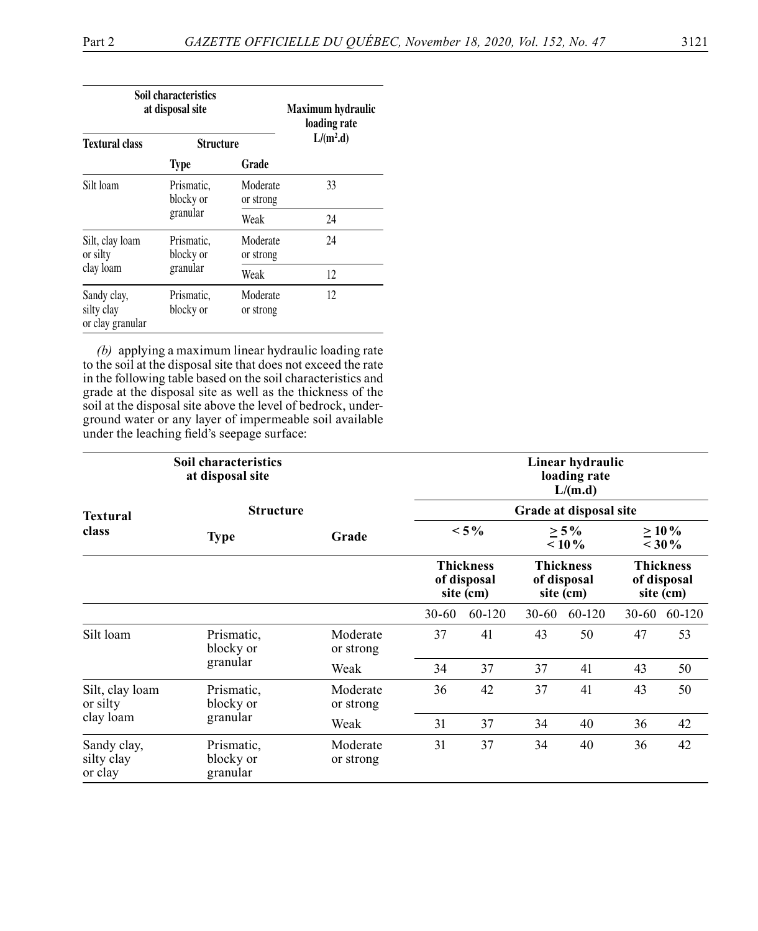| Soil characteristics<br>at disposal site      |                         |                       | Maximum hydraulic<br>loading rate |  |
|-----------------------------------------------|-------------------------|-----------------------|-----------------------------------|--|
| <b>Textural class</b><br><b>Structure</b>     |                         | $L/(m^2.d)$           |                                   |  |
|                                               | Grade<br><b>Type</b>    |                       |                                   |  |
| Silt loam                                     | Prismatic.<br>blocky or | Moderate<br>or strong | 33                                |  |
|                                               | granular                | Weak                  | 24                                |  |
| Silt, clay loam<br>or silty                   | Prismatic.<br>blocky or | Moderate<br>or strong | 24                                |  |
| clay loam                                     | granular                | Weak                  | 12                                |  |
| Sandy clay,<br>silty clay<br>or clay granular | Prismatic.<br>blocky or | Moderate<br>or strong | 12                                |  |

*(b)* applying a maximum linear hydraulic loading rate to the soil at the disposal site that does not exceed the rate in the following table based on the soil characteristics and grade at the disposal site as well as the thickness of the soil at the disposal site above the level of bedrock, underground water or any layer of impermeable soil available under the leaching field's seepage surface:

| <b>Soil characteristics</b><br>at disposal site |                                              |                       |           | Linear hydraulic<br>loading rate<br>L/(m.d)  |           |                                              |    |                      |
|-------------------------------------------------|----------------------------------------------|-----------------------|-----------|----------------------------------------------|-----------|----------------------------------------------|----|----------------------|
| Textural                                        | <b>Structure</b>                             |                       |           |                                              |           | Grade at disposal site                       |    |                      |
| class                                           | <b>Type</b>                                  | Grade                 |           | $< 5\%$                                      |           | $\geq 5\%$<br>$< 10\%$                       |    | $> 10\%$<br>$<$ 30 % |
|                                                 | <b>Thickness</b><br>of disposal<br>site (cm) |                       |           | <b>Thickness</b><br>of disposal<br>site (cm) |           | <b>Thickness</b><br>of disposal<br>site (cm) |    |                      |
|                                                 |                                              |                       | $30 - 60$ | 60-120                                       | $30 - 60$ | 60-120                                       |    | 30-60 60-120         |
| Silt loam                                       | Prismatic,<br>blocky or                      | Moderate<br>or strong | 37        | 41                                           | 43        | 50                                           | 47 | 53                   |
|                                                 | granular                                     | Weak                  | 34        | 37                                           | 37        | 41                                           | 43 | 50                   |
| Silt, clay loam<br>or silty                     | Prismatic,<br>blocky or                      | Moderate<br>or strong | 36        | 42                                           | 37        | 41                                           | 43 | 50                   |
| clay loam<br>granular                           | Weak                                         | 31                    | 37        | 34                                           | 40        | 36                                           | 42 |                      |
| Sandy clay,<br>silty clay<br>or clay            | Prismatic,<br>blocky or<br>granular          | Moderate<br>or strong | 31        | 37                                           | 34        | 40                                           | 36 | 42                   |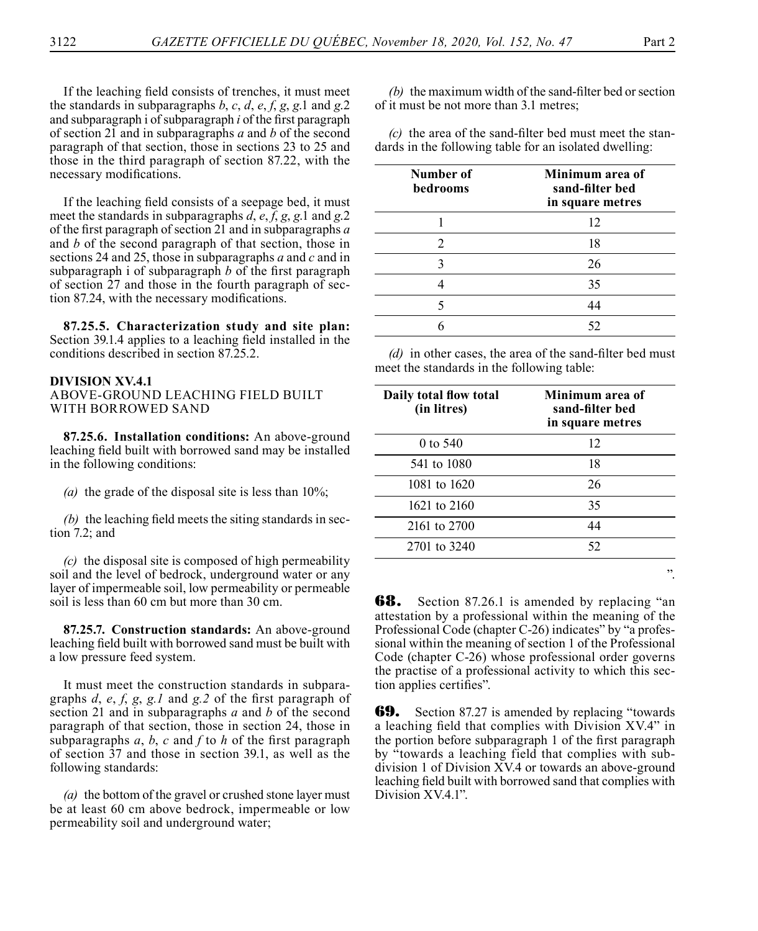If the leaching field consists of trenches, it must meet the standards in subparagraphs *b*, *c*, *d*, *e*, *f*, *g*, *g*.1 and *g*.2 and subparagraph i of subparagraph *i* of the first paragraph of section 21 and in subparagraphs *a* and *b* of the second paragraph of that section, those in sections 23 to 25 and those in the third paragraph of section 87.22, with the necessary modifications.

If the leaching field consists of a seepage bed, it must meet the standards in subparagraphs *d*, *e*, *f*, *g*, *g*.1 and *g*.2 of the first paragraph of section 21 and in subparagraphs *a* and *b* of the second paragraph of that section, those in sections 24 and 25, those in subparagraphs *a* and *c* and in subparagraph i of subparagraph *b* of the first paragraph of section 27 and those in the fourth paragraph of section 87.24, with the necessary modifications.

**87.25.5. Characterization study and site plan:**  Section 39.1.4 applies to a leaching field installed in the conditions described in section 87.25.2.

#### **DIVISION XV.4.1**

### ABOVE-GROUND LEACHING FIELD BUILT WITH BORROWED SAND

**87.25.6. Installation conditions:** An above-ground leaching field built with borrowed sand may be installed in the following conditions:

*(a)* the grade of the disposal site is less than 10%;

*(b)* the leaching field meets the siting standards in section 7.2; and

*(c)* the disposal site is composed of high permeability soil and the level of bedrock, underground water or any layer of impermeable soil, low permeability or permeable soil is less than 60 cm but more than 30 cm.

**87.25.7. Construction standards:** An above-ground leaching field built with borrowed sand must be built with a low pressure feed system.

It must meet the construction standards in subparagraphs *d*, *e*, *f*, *g*, *g.1* and *g.2* of the first paragraph of section 21 and in subparagraphs *a* and *b* of the second paragraph of that section, those in section 24, those in subparagraphs *a*, *b*, *c* and *f* to *h* of the first paragraph of section 37 and those in section 39.1, as well as the following standards:

*(a)* the bottom of the gravel or crushed stone layer must be at least 60 cm above bedrock, impermeable or low permeability soil and underground water;

*(b)* the maximum width of the sand-filter bed or section of it must be not more than 3.1 metres;

*(c)* the area of the sand-filter bed must meet the standards in the following table for an isolated dwelling:

| Number of<br>bedrooms | Minimum area of<br>sand-filter bed<br>in square metres |
|-----------------------|--------------------------------------------------------|
|                       | 12                                                     |
|                       | 18                                                     |
|                       | 26                                                     |
|                       | 35                                                     |
|                       | 44                                                     |
|                       | 52                                                     |

*(d)* in other cases, the area of the sand-filter bed must meet the standards in the following table:

| Daily total flow total<br>(in litres) | Minimum area of<br>sand-filter bed<br>in square metres |
|---------------------------------------|--------------------------------------------------------|
| 0 to $540$                            | 12                                                     |
| 541 to 1080                           | 18                                                     |
| 1081 to 1620                          | 26                                                     |
| 1621 to 2160                          | 35                                                     |
| 2161 to 2700                          | 44                                                     |
| 2701 to 3240                          | 52                                                     |
|                                       |                                                        |

**68.** Section 87.26.1 is amended by replacing "an attestation by a professional within the meaning of the Professional Code (chapter C-26) indicates" by "a professional within the meaning of section 1 of the Professional Code (chapter C-26) whose professional order governs the practise of a professional activity to which this section applies certifies".

**69.** Section 87.27 is amended by replacing "towards" a leaching field that complies with Division XV.4" in the portion before subparagraph 1 of the first paragraph by "towards a leaching field that complies with subdivision 1 of Division XV.4 or towards an above-ground leaching field built with borrowed sand that complies with Division XV.4.1".

".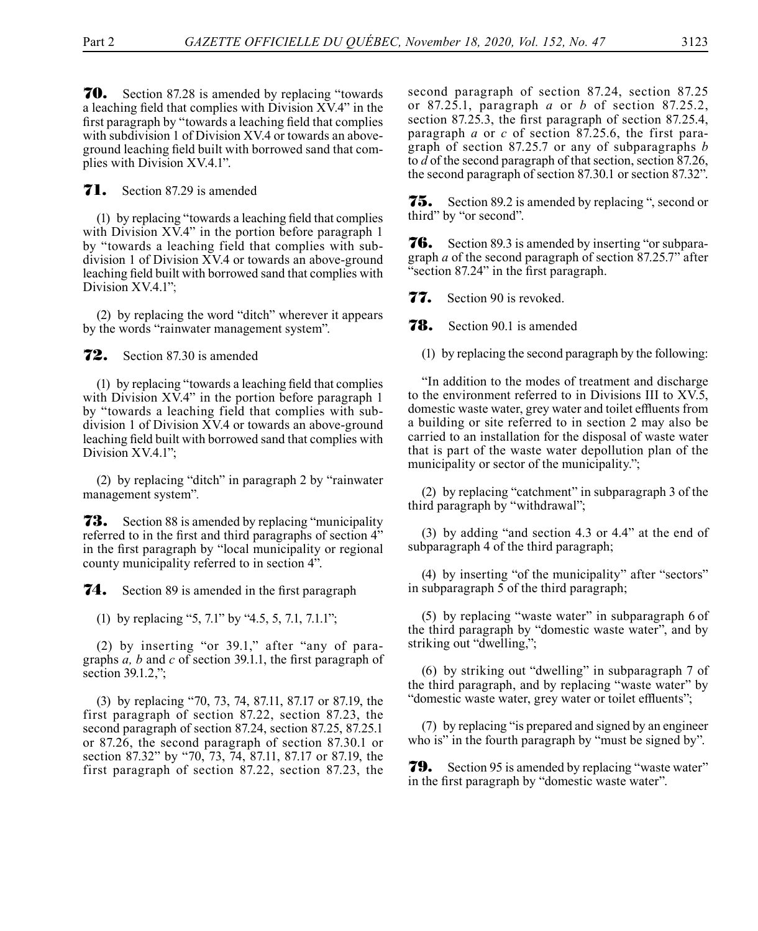70. Section 87.28 is amended by replacing "towards a leaching field that complies with Division XV.4" in the first paragraph by "towards a leaching field that complies with subdivision 1 of Division XV.4 or towards an aboveground leaching field built with borrowed sand that complies with Division XV.4.1".

**71.** Section 87.29 is amended

(1) by replacing "towards a leaching field that complies with Division XV.4" in the portion before paragraph 1 by "towards a leaching field that complies with subdivision 1 of Division XV.4 or towards an above-ground leaching field built with borrowed sand that complies with Division XV.4.1";

(2) by replacing the word "ditch" wherever it appears by the words "rainwater management system".

72. Section 87.30 is amended

(1) by replacing "towards a leaching field that complies with Division XV.4" in the portion before paragraph 1 by "towards a leaching field that complies with subdivision 1 of Division XV.4 or towards an above-ground leaching field built with borrowed sand that complies with Division XV.4.1";

(2) by replacing "ditch" in paragraph 2 by "rainwater management system".

**73.** Section 88 is amended by replacing "municipality" referred to in the first and third paragraphs of section 4" in the first paragraph by "local municipality or regional county municipality referred to in section 4".

**74.** Section 89 is amended in the first paragraph

(1) by replacing "5, 7.1" by "4.5, 5, 7.1, 7.1.1";

(2) by inserting "or 39.1," after "any of paragraphs *a, b* and *c* of section 39.1.1, the first paragraph of section 39.1.2,";

(3) by replacing "70, 73, 74, 87.11, 87.17 or 87.19, the first paragraph of section 87.22, section 87.23, the second paragraph of section 87.24, section 87.25, 87.25.1 or 87.26, the second paragraph of section 87.30.1 or section 87.32" by "70, 73, 74, 87.11, 87.17 or 87.19, the first paragraph of section 87.22, section 87.23, the

second paragraph of section 87.24, section 87.25 or 87.25.1, paragraph *a* or *b* of section 87.25.2, section 87.25.3, the first paragraph of section 87.25.4, paragraph *a* or *c* of section 87.25.6, the first paragraph of section 87.25.7 or any of subparagraphs *b* to *d* of the second paragraph of that section, section 87.26, the second paragraph of section 87.30.1 or section 87.32".

**75.** Section 89.2 is amended by replacing ", second or third" by "or second".

**76.** Section 89.3 is amended by inserting "or subparagraph *a* of the second paragraph of section 87.25.7" after "section 87.24" in the first paragraph.

**77.** Section 90 is revoked.

**78.** Section 90.1 is amended

(1) by replacing the second paragraph by the following:

"In addition to the modes of treatment and discharge to the environment referred to in Divisions III to XV.5, domestic waste water, grey water and toilet effluents from a building or site referred to in section 2 may also be carried to an installation for the disposal of waste water that is part of the waste water depollution plan of the municipality or sector of the municipality.";

(2) by replacing "catchment" in subparagraph 3 of the third paragraph by "withdrawal";

(3) by adding "and section 4.3 or 4.4" at the end of subparagraph 4 of the third paragraph;

(4) by inserting "of the municipality" after "sectors" in subparagraph 5 of the third paragraph;

(5) by replacing "waste water" in subparagraph 6 of the third paragraph by "domestic waste water", and by striking out "dwelling,";

(6) by striking out "dwelling" in subparagraph 7 of the third paragraph, and by replacing "waste water" by "domestic waste water, grey water or toilet effluents";

(7) by replacing "is prepared and signed by an engineer who is" in the fourth paragraph by "must be signed by".

**79.** Section 95 is amended by replacing "waste water" in the first paragraph by "domestic waste water".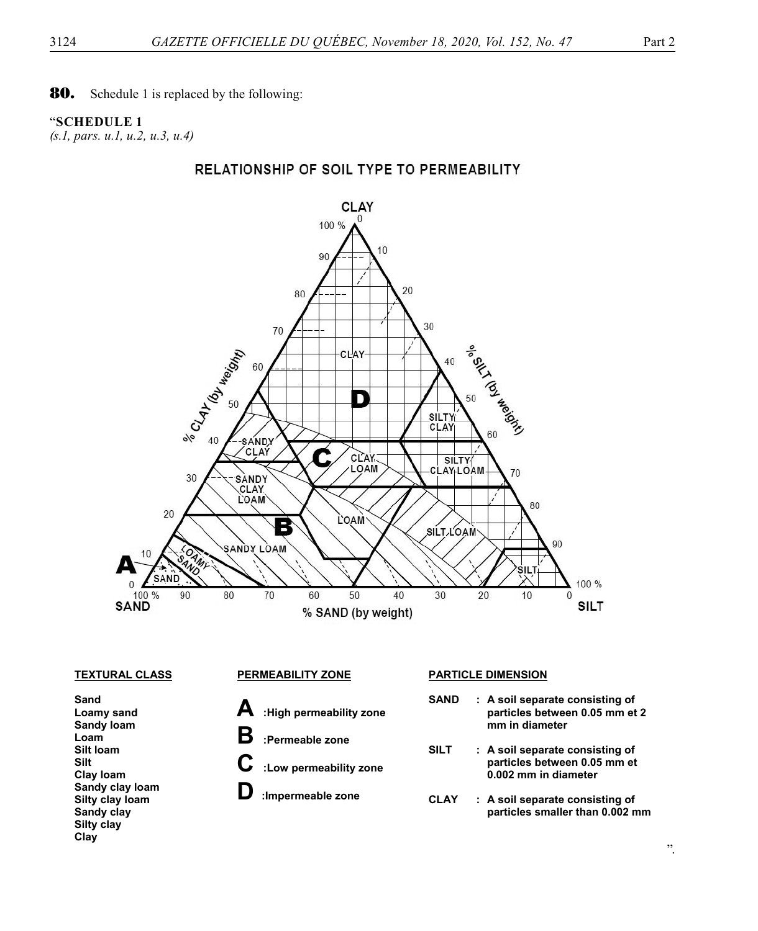# "**SCHEDULE 1**

*(s.1, pars. u.1, u.2, u.3, u.4)*

# RELATIONSHIP OF SOIL TYPE TO PERMEABILITY



**Sand Loamy sand Sandy loam Loam Silt loam Silt Clay loam Sandy clay loam Silty clay loam Sandy clay Silty clay Clay** 

- **A :High permeability zone**
- **B :Permeable zone**
- **C :Low permeability zone** 
	- **D :Impermeable zone**

## **TEXTURAL CLASS PERMEABILITY ZONE PARTICLE DIMENSION**

- **SAND : A soil separate consisting of particles between 0.05 mm et 2 mm in diameter**
- **SILT : A soil separate consisting of particles between 0.05 mm et 0.002 mm in diameter**
- **CLAY : A soil separate consisting of particles smaller than 0.002 mm**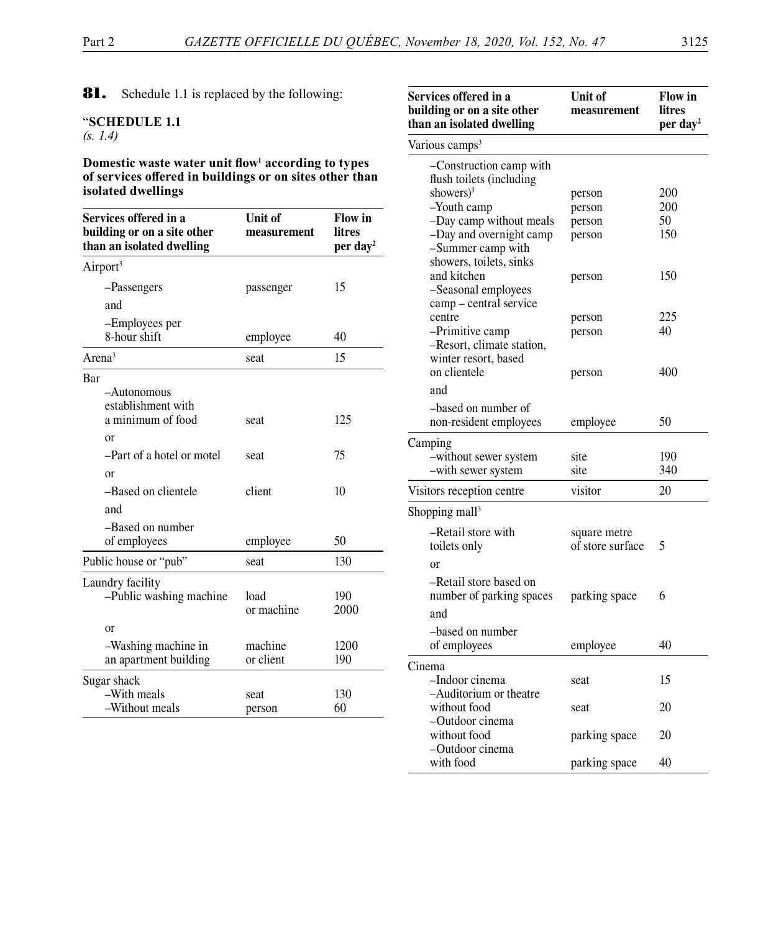81. Schedule 1.1 is replaced by the following:

## "**SCHEDULE 1.1** *(s. 1.4)*

**Domestic waste water unit flow<sup>1</sup> according to types of services offered in buildings or on sites other than isolated dwellings**

| Services offered in a<br>building or on a site other<br>than an isolated dwelling | Unit of<br>measurement | <b>Flow</b> in<br>litres<br>per day <sup>2</sup> |
|-----------------------------------------------------------------------------------|------------------------|--------------------------------------------------|
| Airport <sup>3</sup>                                                              |                        |                                                  |
| -Passengers                                                                       | passenger              | 15                                               |
| and                                                                               |                        |                                                  |
| -Employees per<br>8-hour shift                                                    | employee               | 40                                               |
| $\text{Area}^3$                                                                   | seat                   | 15                                               |
| Bar<br>$-A$ utonomous<br>establishment with<br>a minimum of food                  |                        | 125                                              |
| or                                                                                | seat                   |                                                  |
| -Part of a hotel or motel                                                         | seat                   | 75                                               |
| or<br>-Based on clientele<br>and                                                  | client                 | 10                                               |
| -Based on number<br>of employees                                                  | employee               | 50                                               |
| Public house or "pub"                                                             | seat                   | 130                                              |
| Laundry facility<br>-Public washing machine                                       | load<br>or machine     | 190<br>2000                                      |
| or                                                                                |                        |                                                  |
| -Washing machine in<br>an apartment building                                      | machine<br>or client   | 1200<br>190                                      |
| Sugar shack                                                                       |                        |                                                  |
| -With meals<br>-Without meals                                                     | seat<br>person         | 130<br>60                                        |

| Services offered in a<br>building or on a site other<br>than an isolated dwelling | Unit of<br>measurement | Flow in<br>litres<br>per day <sup>2</sup> |  |
|-----------------------------------------------------------------------------------|------------------------|-------------------------------------------|--|
| Various camps <sup>3</sup>                                                        |                        |                                           |  |
| -Construction camp with<br>flush toilets (including                               |                        |                                           |  |
| showers) <sup>3</sup>                                                             | person                 | 200                                       |  |
| -Youth camp                                                                       | person                 | 200                                       |  |
| -Day camp without meals                                                           | person                 | 50                                        |  |
| -Day and overnight camp<br>-Summer camp with                                      | person                 | 150                                       |  |
| showers, toilets, sinks                                                           |                        |                                           |  |
| and kitchen<br>-Seasonal employees<br>camp - central service                      | person                 | 150                                       |  |
| centre                                                                            | person                 | 225                                       |  |
| -Primitive camp                                                                   | person                 | 40                                        |  |
| -Resort, climate station,<br>winter resort, based                                 |                        |                                           |  |
| on clientele                                                                      | person                 | 400                                       |  |
| and                                                                               |                        |                                           |  |
| -based on number of                                                               |                        |                                           |  |
| non-resident employees                                                            | employee               | 50                                        |  |
| Camping                                                                           |                        |                                           |  |
| -without sewer system                                                             | site                   | 190                                       |  |
| -with sewer system                                                                | site                   | 340                                       |  |
| Visitors reception centre                                                         | visitor                | 20                                        |  |
| Shopping mall <sup>3</sup>                                                        |                        |                                           |  |
| -Retail store with                                                                | square metre           |                                           |  |
| toilets only                                                                      | of store surface       | 5                                         |  |
| or                                                                                |                        |                                           |  |
| -Retail store based on                                                            |                        |                                           |  |
| number of parking spaces                                                          | parking space          | 6                                         |  |
|                                                                                   |                        |                                           |  |
| and                                                                               |                        |                                           |  |
| -based on number                                                                  |                        |                                           |  |
| of employees                                                                      | employee               | 40                                        |  |
| Cinema                                                                            |                        |                                           |  |
| -Indoor cinema                                                                    | seat                   | 15                                        |  |
| -Auditorium or theatre                                                            |                        |                                           |  |
| without food                                                                      | seat                   | 20                                        |  |
| -Outdoor cinema                                                                   |                        |                                           |  |
| without food                                                                      | parking space          | 20                                        |  |
| -Outdoor cinema<br>with food                                                      | parking space          | 40                                        |  |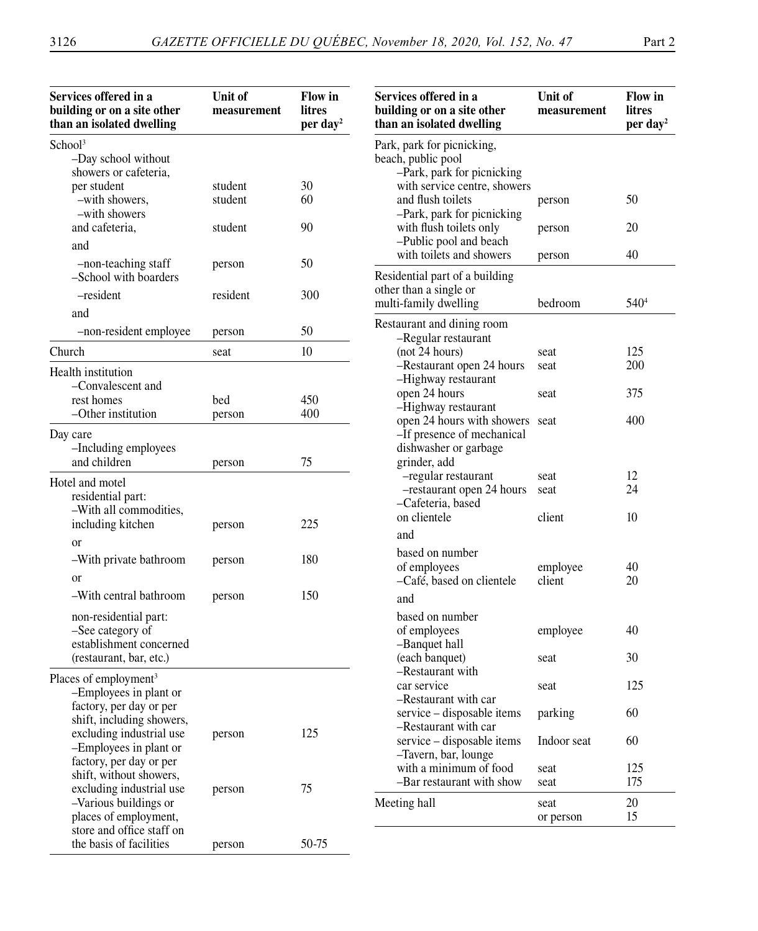| Services offered in a<br>building or on a site other<br>than an isolated dwelling                       | Unit of<br>measurement | <b>Flow</b> in<br>litres<br>per day <sup>2</sup> | Services offered in a<br>building or on a site other<br>than an isolated dwelling | Unit of<br>measurement | <b>Flow</b> in<br>litres<br>per day <sup>2</sup> |
|---------------------------------------------------------------------------------------------------------|------------------------|--------------------------------------------------|-----------------------------------------------------------------------------------|------------------------|--------------------------------------------------|
| School <sup>3</sup><br>-Day school without<br>showers or cafeteria,                                     |                        |                                                  | Park, park for picnicking,<br>beach, public pool<br>-Park, park for picnicking    |                        |                                                  |
| per student<br>-with showers,<br>-with showers                                                          | student<br>student     | 30<br>60                                         | with service centre, showers<br>and flush toilets<br>-Park, park for picnicking   | person                 | 50                                               |
| and cafeteria,<br>and                                                                                   | student                | 90                                               | with flush toilets only<br>-Public pool and beach                                 | person                 | 20                                               |
| -non-teaching staff<br>-School with boarders                                                            | person                 | 50                                               | with toilets and showers<br>Residential part of a building                        | person                 | 40                                               |
| -resident                                                                                               | resident               | 300                                              | other than a single or<br>multi-family dwelling                                   | bedroom                | 540 <sup>4</sup>                                 |
| and<br>-non-resident employee                                                                           | person                 | 50                                               | Restaurant and dining room<br>-Regular restaurant                                 |                        |                                                  |
| Church                                                                                                  | seat                   | 10                                               | (not 24 hours)                                                                    | seat                   | 125                                              |
| Health institution<br>-Convalescent and                                                                 |                        |                                                  | -Restaurant open 24 hours<br>-Highway restaurant<br>open 24 hours                 | seat<br>seat           | 200<br>375                                       |
| rest homes<br>-Other institution                                                                        | bed<br>person          | 450<br>400                                       | -Highway restaurant<br>open 24 hours with showers seat                            |                        | 400                                              |
| Day care<br>-Including employees<br>and children                                                        | person                 | 75                                               | -If presence of mechanical<br>dishwasher or garbage<br>grinder, add               |                        |                                                  |
| Hotel and motel<br>residential part:<br>-With all commodities,                                          |                        |                                                  | -regular restaurant<br>-restaurant open 24 hours<br>-Cafeteria, based             | seat<br>seat           | 12<br>24                                         |
| including kitchen<br><sub>or</sub>                                                                      | person                 | 225                                              | on clientele<br>and                                                               | client                 | 10                                               |
| -With private bathroom<br>or                                                                            | person                 | 180                                              | based on number<br>of employees<br>-Café, based on clientele                      | employee<br>client     | 40<br>20                                         |
| -With central bathroom                                                                                  | person                 | 150                                              | and                                                                               |                        |                                                  |
| non-residential part:<br>-See category of<br>establishment concerned                                    |                        |                                                  | based on number<br>of employees<br>-Banquet hall                                  | employee               | 40                                               |
| (restaurant, bar, etc.)<br>Places of employment <sup>3</sup>                                            |                        |                                                  | (each banquet)<br>-Restaurant with                                                | seat                   | 30                                               |
| -Employees in plant or<br>factory, per day or per                                                       |                        |                                                  | car service<br>Restaurant with car                                                | seat                   | 125                                              |
| shift, including showers,<br>excluding industrial use                                                   | person                 | 125                                              | service – disposable items<br>-Restaurant with car                                | parking                | 60                                               |
| -Employees in plant or<br>factory, per day or per                                                       |                        |                                                  | service – disposable items<br>-Tavern, bar, lounge<br>with a minimum of food      | Indoor seat            | 60<br>125                                        |
| shift, without showers,                                                                                 |                        |                                                  | -Bar restaurant with show                                                         | seat<br>seat           | 175                                              |
| excluding industrial use<br>-Various buildings or<br>places of employment,<br>store and office staff on | person                 | 75                                               | Meeting hall                                                                      | seat<br>or person      | 20<br>15                                         |
| the basis of facilities                                                                                 | person                 | 50-75                                            |                                                                                   |                        |                                                  |